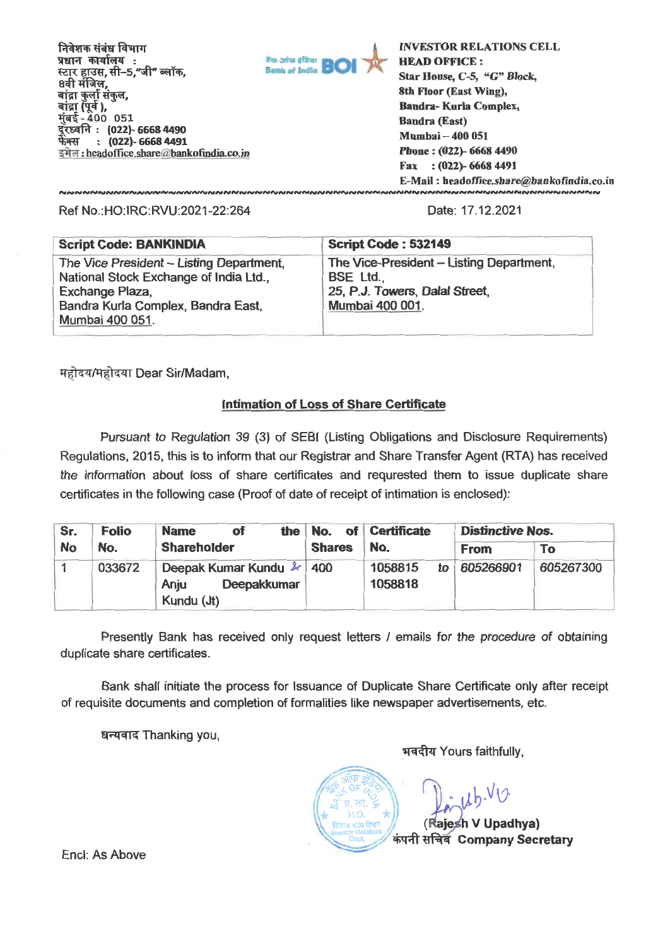निवेशक संबंध विभाग **4)14iimq :**  स्टा्र हाउस, सी–5,<mark>"जी" ब्लॉक</mark>. 8वी मंजिल, बांद्रा कुर्ला संकुल, बांद्रा (पूर्व ),<br>मुंबई <u>-</u> 400 051 **: (022)- 6668 4490 : (022)- 6668 4491**  फेक्स इमेल: headoffice.share@bankofindia.co.in



**INVESTOR RELATIONS CELL HEAD OFFICE : Star House, C-5, "G" Block, 8th Floor (East Wing), Bandra- Kuria Complex, Bandra (East) Mumbai - 400 051 Phone : (022)- 6668 4490 Fax : (022)- 6668 4491 E-Mail : headoffice.share@bankofindia.co.in** 

Ref No.:HO:IRC:RVU:2021-22:264 Date: 17.12.2021

| <b>Script Code: BANKINDIA</b>                                                      | <b>Script Code: 532149</b>                          |
|------------------------------------------------------------------------------------|-----------------------------------------------------|
| The Vice President – Listing Department,<br>National Stock Exchange of India Ltd., | The Vice-President - Listing Department,<br>BSE Ltd |
| Exchange Plaza,<br>Bandra Kurla Complex, Bandra East,<br>Mumbai 400 051.           | 25, P.J. Towers, Dalal Street,<br>Mumbai 400 001.   |

महोदय/महोदया Dear Sir/Madam,

## **Intimation of Loss of Share Certificate**

Pursuant to Regulation 39 (3) of SEBI (Listing Obligations and Disclosure Requirements) Regulations, 2015, this is to inform that our Registrar and Share Transfer Agent (RTA) has received the information about loss of share certificates and requrested them to issue duplicate share certificates in the following case (Proof of date of receipt of intimation is enclosed):

| Sr.       | <b>Folio</b>                                                                   | of<br><b>Name</b>  |               | the No. of Certificate              | <b>Distinctive Nos.</b> |           |
|-----------|--------------------------------------------------------------------------------|--------------------|---------------|-------------------------------------|-------------------------|-----------|
| <b>No</b> | No.                                                                            | <b>Shareholder</b> | <b>Shares</b> | No.                                 | <b>From</b>             | To        |
|           | Deepak Kumar Kundu & 400<br>033672<br><b>Deepakkumar</b><br>Anju<br>Kundu (Jt) |                    |               | 1058815<br>$\mathbf{to}$<br>1058818 | 605266901               | 605267300 |

Presently Bank has received only request letters / emails for the procedure of obtaining duplicate share certificates.

Bank shall initiate the process for Issuance of Duplicate Share Certificate only after receipt of requisite documents and completion of formalities like newspaper advertisements, etc.

> $*$  OF) কা.

धन्यवाद Thanking you,

भवदीय Yours faithfully,

 $u^{h,v}$  $\begin{bmatrix} \vec{\omega} & \stackrel{M}{\sim} \vec{\omega} & \mathbf{v} \\ \mathbf{r} & \stackrel{H}{\sim} \vec{\omega} & \mathbf{v} \end{bmatrix}$ **निदेशक संबंध विभाग**<br>Investor Relations **(Rajesh V Upadhya) कंपनी सचिव** Company Secretary

Encl: As Above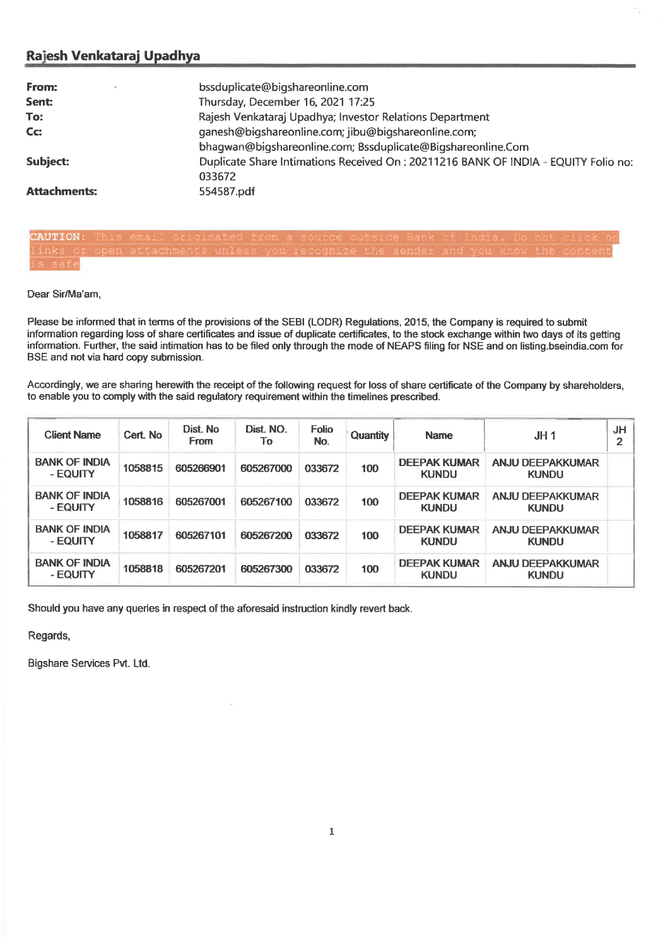## **Rajesh Venkataraj Upadhya**

| From:               | bssduplicate@bigshareonline.com                                                              |
|---------------------|----------------------------------------------------------------------------------------------|
| Sent:               | Thursday, December 16, 2021 17:25                                                            |
| To:                 | Rajesh Venkataraj Upadhya; Investor Relations Department                                     |
| Cc:                 | ganesh@bigshareonline.com; jibu@bigshareonline.com;                                          |
|                     | bhagwan@bigshareonline.com; Bssduplicate@Bigshareonline.Com                                  |
| <b>Subject:</b>     | Duplicate Share Intimations Received On: 20211216 BANK OF INDIA - EQUITY Folio no:<br>033672 |
| <b>Attachments:</b> | 554587.pdf                                                                                   |

CAUTION

Dear Sir/Ma'am,

Please be informed that in terms of the provisions of the SEBI (LODR) Regulations, 2015, the Company is required to submit information regarding loss of share certificates and issue of duplicate certificates, to the stock exchange within two days of its getting information. Further, the said intimation has to be filed only through the mode of NEAPS filing for NSE and on listing bseindia.com for BSE and not via hard copy submission.

Accordingly, we are sharing herewith the receipt of the following request for loss of share certificate of the Company by shareholders, to enable you to comply with the said regulatory requirement within the timelines prescribed.

| <b>Client Name</b>               | Cert No | Dist. No.<br><b>From</b> | Dist. NO.<br>To | Folio<br>No. | Quantity | <b>Name</b>                         | JH1                                     | JH<br>$\overline{2}$ |
|----------------------------------|---------|--------------------------|-----------------|--------------|----------|-------------------------------------|-----------------------------------------|----------------------|
| <b>BANK OF INDIA</b><br>- EQUITY | 1058815 | 605266901                | 605267000       | 033672       | 100      | <b>DEEPAK KUMAR</b><br><b>KUNDU</b> | <b>ANJU DEEPAKKUMAR</b><br><b>KUNDU</b> |                      |
| <b>BANK OF INDIA</b><br>- EQUITY | 1058816 | 605267001                | 605267100       | 033672       | 100      | <b>DEEPAK KUMAR</b><br><b>KUNDU</b> | ANJU DEEPAKKUMAR<br><b>KUNDU</b>        |                      |
| <b>BANK OF INDIA</b><br>- EQUITY | 1058817 | 605267101                | 605267200       | 033672       | 100      | <b>DEEPAK KUMAR</b><br><b>KUNDU</b> | <b>ANJU DEEPAKKUMAR</b><br><b>KUNDU</b> |                      |
| <b>BANK OF INDIA</b><br>- EQUITY | 1058818 | 605267201                | 605267300       | 033672       | 100      | <b>DEEPAK KUMAR</b><br><b>KUNDU</b> | <b>ANJU DEEPAKKUMAR</b><br><b>KUNDU</b> |                      |

**Should you have** any queries in respect of the aforesaid instruction kindly revert back.

Regards,

Bigshare Services Pvt. Ltd.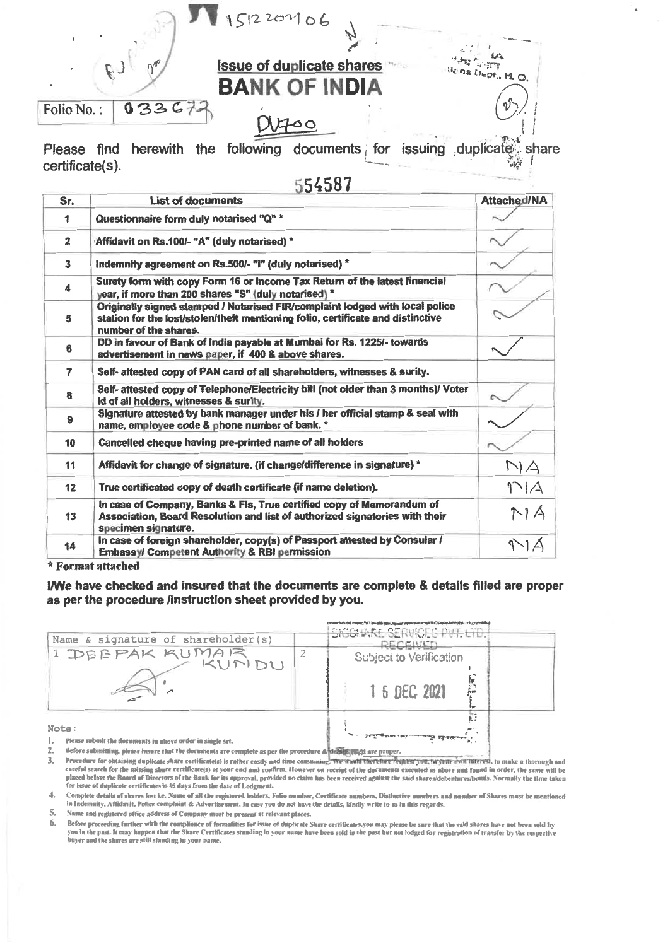

**5 4 5 87** 

| Sr.                     | <b>List of documents</b>                                                                                                                                                                 | <b>Attached/NA</b> |
|-------------------------|------------------------------------------------------------------------------------------------------------------------------------------------------------------------------------------|--------------------|
| 1                       | Questionnaire form duly notarised "Q" *                                                                                                                                                  |                    |
| $\overline{\mathbf{z}}$ | "Affidavit on Rs.100/- "A" (duly notarised) *                                                                                                                                            |                    |
| $\mathbf{3}$            | Indemnity agreement on Rs.500/- "I" (duly notarised) *                                                                                                                                   |                    |
| $\ddot{\phantom{a}}$    | Surety form with copy Form 16 or Income Tax Return of the latest financial<br>year, if more than 200 shares "S" (duly notarised) *                                                       |                    |
| 5                       | Originally signed stamped / Notarised FIR/complaint lodged with local police<br>station for the lost/stolen/theft mentioning folio, certificate and distinctive<br>number of the shares. |                    |
| 6                       | DD in favour of Bank of India payable at Mumbai for Rs. 1225/- towards<br>advertisement in news paper, if 400 & above shares.                                                            |                    |
| 7                       | Self- attested copy of PAN card of all shareholders, witnesses & surity.                                                                                                                 |                    |
| 8                       | Self- attested copy of Telephone/Electricity bill (not older than 3 months)/ Voter<br>Id of all holders, witnesses & surity.                                                             |                    |
| 9                       | Signature attested by bank manager under his / her official stamp & seal with<br>name, employee code & phone number of bank. *                                                           |                    |
| 10                      | Cancelled cheque having pre-printed name of all holders                                                                                                                                  |                    |
| 11                      | Affidavit for change of signature. (if change/difference in signature) *                                                                                                                 | NA                 |
| 12                      | True certificated copy of death certificate (if name deletion).                                                                                                                          | 1/4                |
| 13                      | In case of Company, Banks & Fis, True certified copy of Memorandum of<br>Association, Board Resolution and list of authorized signatories with their<br>specimen signature.              | M/A                |
| 14                      | In case of foreign shareholder, copy(s) of Passport attested by Consular /<br>Embassy/ Competent Authority & RBI permission                                                              |                    |

## **\* Format attached**

**INVe have checked and insured that the documents are complete & details filled are proper as per the procedure /instruction sheet provided by you.** 

| Name & signature of shareholder(s)                                 |  | SICCHARE SERVICES PVT, LID.<br>RECEIVET |
|--------------------------------------------------------------------|--|-----------------------------------------|
| I DEEPAK KUMAR<br>KUNDU                                            |  | Subject to Verification<br>1 6 DEC 2021 |
| Note:<br>Please submit the documents in above order in single set. |  | R. 7                                    |

KK **2. Before submitting, please 'mare that the docennems are complete as per the procedure & are proper.** 

3. Procedure for obtaining duplicate share certificate(s) is rather costly and time coasuming. We would therefore request you, they our own meeted, to make a thorough and careful search for the missing share certificate(s) at your end and confirm. However on receipt of the documents executed as above and found in order, the same will be<br>placed before the Board of Directors of the Bauk for i for issue of duplicate certificates is 45 days from the date of Lodgment.

4. Complete details of shares lost i.e. Name of all the registered holders, Folio number, Certificate numbers, Distinctive numbers and number of Shares must be mentioned in lademaity, Affidavit, Police complaint & Advertisement. In case you do not have the details, kindly write to us in this regards.

 $5.$  Name and registered office address of Company must be present at relevant places.

**6. Before proceeding farther with the compliance of formalities fee issue of duplicate Share cerlificates,you may please be sore that the said shares have not been sold by**  you in the past. It may happen that the Share Certificates standing in your name have been sold in the past but not lodged for registration of transfer by the respective<br>buyer and the shares are still standing in your name